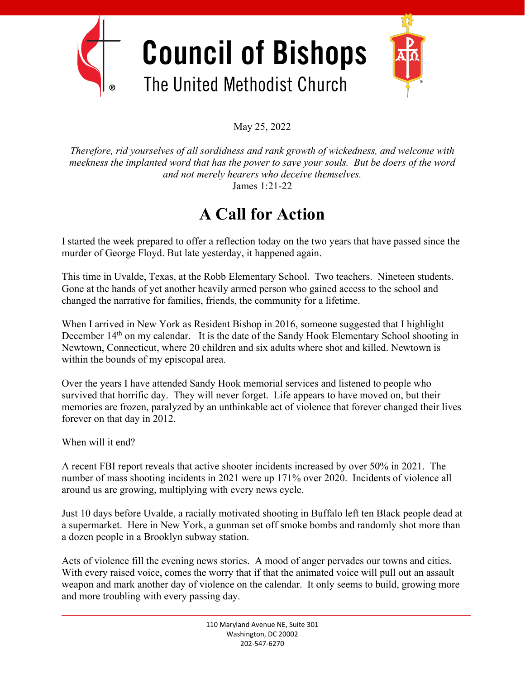

May 25, 2022

*Therefore, rid yourselves of all sordidness and rank growth of wickedness, and welcome with meekness the implanted word that has the power to save your souls. But be doers of the word and not merely hearers who deceive themselves.* James 1:21-22

## **A Call for Action**

I started the week prepared to offer a reflection today on the two years that have passed since the murder of George Floyd. But late yesterday, it happened again.

This time in Uvalde, Texas, at the Robb Elementary School. Two teachers. Nineteen students. Gone at the hands of yet another heavily armed person who gained access to the school and changed the narrative for families, friends, the community for a lifetime.

When I arrived in New York as Resident Bishop in 2016, someone suggested that I highlight December 14<sup>th</sup> on my calendar. It is the date of the Sandy Hook Elementary School shooting in Newtown, Connecticut, where 20 children and six adults where shot and killed. Newtown is within the bounds of my episcopal area.

Over the years I have attended Sandy Hook memorial services and listened to people who survived that horrific day. They will never forget. Life appears to have moved on, but their memories are frozen, paralyzed by an unthinkable act of violence that forever changed their lives forever on that day in 2012.

When will it end?

A recent FBI report reveals that active shooter incidents increased by over 50% in 2021. The number of mass shooting incidents in 2021 were up 171% over 2020. Incidents of violence all around us are growing, multiplying with every news cycle.

Just 10 days before Uvalde, a racially motivated shooting in Buffalo left ten Black people dead at a supermarket. Here in New York, a gunman set off smoke bombs and randomly shot more than a dozen people in a Brooklyn subway station.

Acts of violence fill the evening news stories. A mood of anger pervades our towns and cities. With every raised voice, comes the worry that if that the animated voice will pull out an assault weapon and mark another day of violence on the calendar. It only seems to build, growing more and more troubling with every passing day.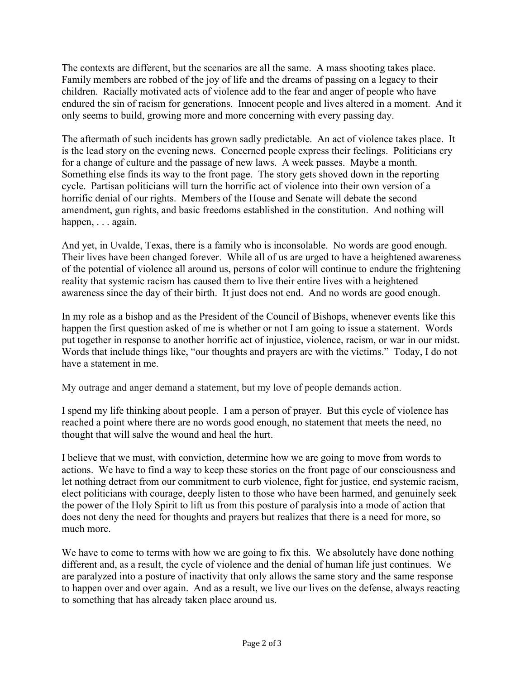The contexts are different, but the scenarios are all the same. A mass shooting takes place. Family members are robbed of the joy of life and the dreams of passing on a legacy to their children. Racially motivated acts of violence add to the fear and anger of people who have endured the sin of racism for generations. Innocent people and lives altered in a moment. And it only seems to build, growing more and more concerning with every passing day.

The aftermath of such incidents has grown sadly predictable. An act of violence takes place. It is the lead story on the evening news. Concerned people express their feelings. Politicians cry for a change of culture and the passage of new laws. A week passes. Maybe a month. Something else finds its way to the front page. The story gets shoved down in the reporting cycle. Partisan politicians will turn the horrific act of violence into their own version of a horrific denial of our rights. Members of the House and Senate will debate the second amendment, gun rights, and basic freedoms established in the constitution. And nothing will happen, . . . again.

And yet, in Uvalde, Texas, there is a family who is inconsolable. No words are good enough. Their lives have been changed forever. While all of us are urged to have a heightened awareness of the potential of violence all around us, persons of color will continue to endure the frightening reality that systemic racism has caused them to live their entire lives with a heightened awareness since the day of their birth. It just does not end. And no words are good enough.

In my role as a bishop and as the President of the Council of Bishops, whenever events like this happen the first question asked of me is whether or not I am going to issue a statement. Words put together in response to another horrific act of injustice, violence, racism, or war in our midst. Words that include things like, "our thoughts and prayers are with the victims." Today, I do not have a statement in me.

My outrage and anger demand a statement, but my love of people demands action.

I spend my life thinking about people. I am a person of prayer. But this cycle of violence has reached a point where there are no words good enough, no statement that meets the need, no thought that will salve the wound and heal the hurt.

I believe that we must, with conviction, determine how we are going to move from words to actions. We have to find a way to keep these stories on the front page of our consciousness and let nothing detract from our commitment to curb violence, fight for justice, end systemic racism, elect politicians with courage, deeply listen to those who have been harmed, and genuinely seek the power of the Holy Spirit to lift us from this posture of paralysis into a mode of action that does not deny the need for thoughts and prayers but realizes that there is a need for more, so much more.

We have to come to terms with how we are going to fix this. We absolutely have done nothing different and, as a result, the cycle of violence and the denial of human life just continues. We are paralyzed into a posture of inactivity that only allows the same story and the same response to happen over and over again. And as a result, we live our lives on the defense, always reacting to something that has already taken place around us.